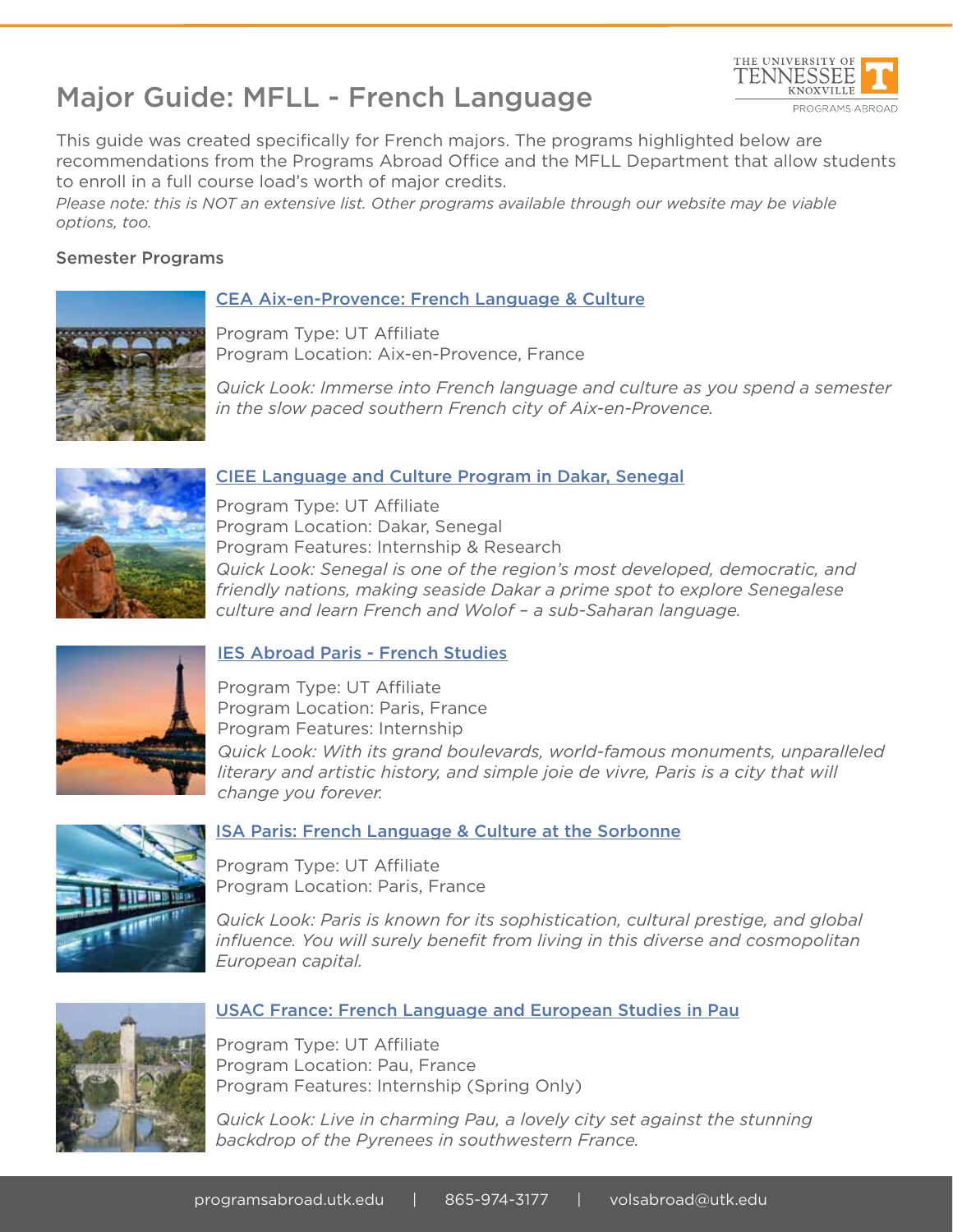



This guide was created specifically for French majors. The programs highlighted below are recommendations from the Programs Abroad Office and the MFLL Department that allow students to enroll in a full course load's worth of major credits.

*Please note: this is NOT an extensive list. Other programs available through our website may be viable options, too.*

## Semester Programs

# CEA Aix-en-Provence: French Language & Culture



Program Type: UT Affiliate Program Location: Aix-en-Provence, France

*Quick Look: Immerse into French language and culture as you spend a semester in the slow paced southern French city of Aix-en-Provence.*



### CIEE Language and Culture Program in Dakar, Senegal

Program Type: UT Affiliate Program Location: Dakar, Senegal Program Features: Internship & Research *Quick Look: Senegal is one of the region's most developed, democratic, and friendly nations, making seaside Dakar a prime spot to explore Senegalese culture and learn French and Wolof – a sub-Saharan language.*



#### IES Abroad Paris - French Studies

Program Type: UT Affiliate Program Location: Paris, France Program Features: Internship *Quick Look: With its grand boulevards, world-famous monuments, unparalleled literary and artistic history, and simple joie de vivre, Paris is a city that will change you forever.*



#### ISA Paris: French Language & Culture at the Sorbonne

Program Type: UT Affiliate Program Location: Paris, France

*Quick Look: Paris is known for its sophistication, cultural prestige, and global influence. You will surely benefit from living in this diverse and cosmopolitan European capital.*



## USAC France: French Language and European Studies in Pau

Program Type: UT Affiliate Program Location: Pau, France Program Features: Internship (Spring Only)

*Quick Look: Live in charming Pau, a lovely city set against the stunning backdrop of the Pyrenees in southwestern France.*